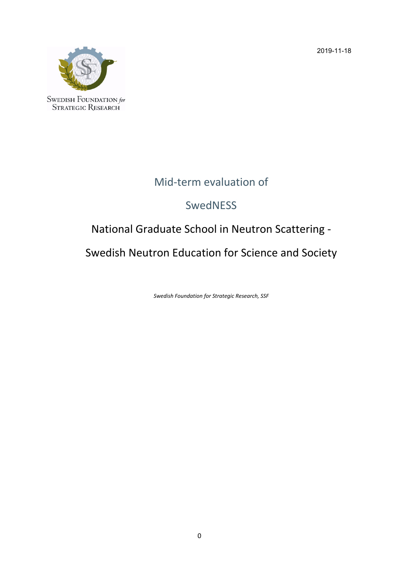2019-11-18



# Mid‐term evaluation of

# **SwedNESS**

# National Graduate School in Neutron Scattering ‐

Swedish Neutron Education for Science and Society

*Swedish Foundation for Strategic Research, SSF*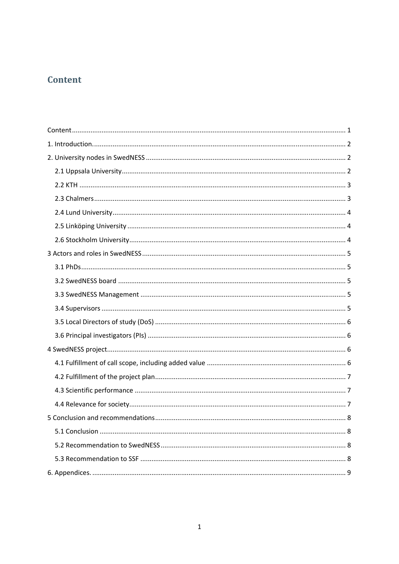# Content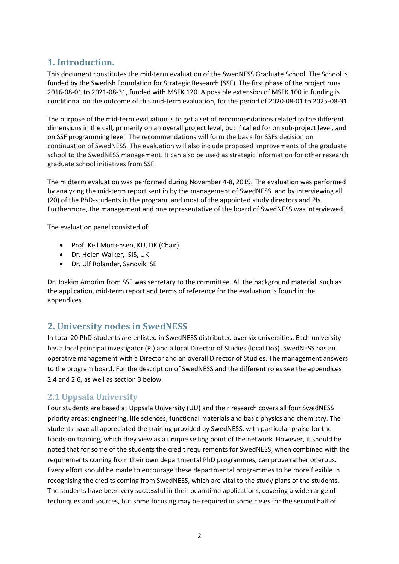# **1. Introduction.**

This document constitutes the mid-term evaluation of the SwedNESS Graduate School. The School is funded by the Swedish Foundation for Strategic Research (SSF). The first phase of the project runs 2016‐08‐01 to 2021‐08‐31, funded with MSEK 120. A possible extension of MSEK 100 in funding is conditional on the outcome of this mid‐term evaluation, for the period of 2020‐08‐01 to 2025‐08‐31.

The purpose of the mid-term evaluation is to get a set of recommendations related to the different dimensions in the call, primarily on an overall project level, but if called for on sub‐project level, and on SSF programming level. The recommendations will form the basis for SSFs decision on continuation of SwedNESS. The evaluation will also include proposed improvements of the graduate school to the SwedNESS management. It can also be used as strategic information for other research graduate school initiatives from SSF.

The midterm evaluation was performed during November 4‐8, 2019. The evaluation was performed by analyzing the mid-term report sent in by the management of SwedNESS, and by interviewing all (20) of the PhD‐students in the program, and most of the appointed study directors and PIs. Furthermore, the management and one representative of the board of SwedNESS was interviewed.

The evaluation panel consisted of:

- Prof. Kell Mortensen, KU, DK (Chair)
- Dr. Helen Walker, ISIS, UK
- Dr. Ulf Rolander, Sandvik, SE

Dr. Joakim Amorim from SSF was secretary to the committee. All the background material, such as the application, mid‐term report and terms of reference for the evaluation is found in the appendices.

# **2. University nodes in SwedNESS**

In total 20 PhD‐students are enlisted in SwedNESS distributed over six universities. Each university has a local principal investigator (PI) and a local Director of Studies (local DoS). SwedNESS has an operative management with a Director and an overall Director of Studies. The management answers to the program board. For the description of SwedNESS and the different roles see the appendices 2.4 and 2.6, as well as section 3 below.

# **2.1 Uppsala University**

Four students are based at Uppsala University (UU) and their research covers all four SwedNESS priority areas: engineering, life sciences, functional materials and basic physics and chemistry. The students have all appreciated the training provided by SwedNESS, with particular praise for the hands-on training, which they view as a unique selling point of the network. However, it should be noted that for some of the students the credit requirements for SwedNESS, when combined with the requirements coming from their own departmental PhD programmes, can prove rather onerous. Every effort should be made to encourage these departmental programmes to be more flexible in recognising the credits coming from SwedNESS, which are vital to the study plans of the students. The students have been very successful in their beamtime applications, covering a wide range of techniques and sources, but some focusing may be required in some cases for the second half of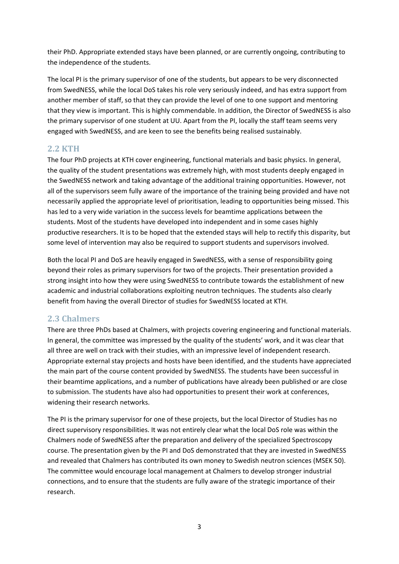their PhD. Appropriate extended stays have been planned, or are currently ongoing, contributing to the independence of the students.

The local PI is the primary supervisor of one of the students, but appears to be very disconnected from SwedNESS, while the local DoS takes his role very seriously indeed, and has extra support from another member of staff, so that they can provide the level of one to one support and mentoring that they view is important. This is highly commendable. In addition, the Director of SwedNESS is also the primary supervisor of one student at UU. Apart from the PI, locally the staff team seems very engaged with SwedNESS, and are keen to see the benefits being realised sustainably.

# **2.2 KTH**

The four PhD projects at KTH cover engineering, functional materials and basic physics. In general, the quality of the student presentations was extremely high, with most students deeply engaged in the SwedNESS network and taking advantage of the additional training opportunities. However, not all of the supervisors seem fully aware of the importance of the training being provided and have not necessarily applied the appropriate level of prioritisation, leading to opportunities being missed. This has led to a very wide variation in the success levels for beamtime applications between the students. Most of the students have developed into independent and in some cases highly productive researchers. It is to be hoped that the extended stays will help to rectify this disparity, but some level of intervention may also be required to support students and supervisors involved.

Both the local PI and DoS are heavily engaged in SwedNESS, with a sense of responsibility going beyond their roles as primary supervisors for two of the projects. Their presentation provided a strong insight into how they were using SwedNESS to contribute towards the establishment of new academic and industrial collaborations exploiting neutron techniques. The students also clearly benefit from having the overall Director of studies for SwedNESS located at KTH.

# **2.3 Chalmers**

There are three PhDs based at Chalmers, with projects covering engineering and functional materials. In general, the committee was impressed by the quality of the students' work, and it was clear that all three are well on track with their studies, with an impressive level of independent research. Appropriate external stay projects and hosts have been identified, and the students have appreciated the main part of the course content provided by SwedNESS. The students have been successful in their beamtime applications, and a number of publications have already been published or are close to submission. The students have also had opportunities to present their work at conferences, widening their research networks.

The PI is the primary supervisor for one of these projects, but the local Director of Studies has no direct supervisory responsibilities. It was not entirely clear what the local DoS role was within the Chalmers node of SwedNESS after the preparation and delivery of the specialized Spectroscopy course. The presentation given by the PI and DoS demonstrated that they are invested in SwedNESS and revealed that Chalmers has contributed its own money to Swedish neutron sciences (MSEK 50). The committee would encourage local management at Chalmers to develop stronger industrial connections, and to ensure that the students are fully aware of the strategic importance of their research.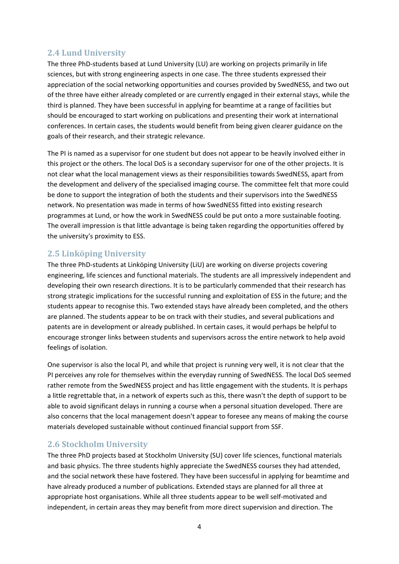# **2.4 Lund University**

The three PhD-students based at Lund University (LU) are working on projects primarily in life sciences, but with strong engineering aspects in one case. The three students expressed their appreciation of the social networking opportunities and courses provided by SwedNESS, and two out of the three have either already completed or are currently engaged in their external stays, while the third is planned. They have been successful in applying for beamtime at a range of facilities but should be encouraged to start working on publications and presenting their work at international conferences. In certain cases, the students would benefit from being given clearer guidance on the goals of their research, and their strategic relevance.

The PI is named as a supervisor for one student but does not appear to be heavily involved either in this project or the others. The local DoS is a secondary supervisor for one of the other projects. It is not clear what the local management views as their responsibilities towards SwedNESS, apart from the development and delivery of the specialised imaging course. The committee felt that more could be done to support the integration of both the students and their supervisors into the SwedNESS network. No presentation was made in terms of how SwedNESS fitted into existing research programmes at Lund, or how the work in SwedNESS could be put onto a more sustainable footing. The overall impression is that little advantage is being taken regarding the opportunities offered by the university's proximity to ESS.

# **2.5 Linköping University**

The three PhD‐students at Linköping University (LiU) are working on diverse projects covering engineering, life sciences and functional materials. The students are all impressively independent and developing their own research directions. It is to be particularly commended that their research has strong strategic implications for the successful running and exploitation of ESS in the future; and the students appear to recognise this. Two extended stays have already been completed, and the others are planned. The students appear to be on track with their studies, and several publications and patents are in development or already published. In certain cases, it would perhaps be helpful to encourage stronger links between students and supervisors across the entire network to help avoid feelings of isolation.

One supervisor is also the local PI, and while that project is running very well, it is not clear that the PI perceives any role for themselves within the everyday running of SwedNESS. The local DoS seemed rather remote from the SwedNESS project and has little engagement with the students. It is perhaps a little regrettable that, in a network of experts such as this, there wasn't the depth of support to be able to avoid significant delays in running a course when a personal situation developed. There are also concerns that the local management doesn't appear to foresee any means of making the course materials developed sustainable without continued financial support from SSF.

# **2.6 Stockholm University**

The three PhD projects based at Stockholm University (SU) cover life sciences, functional materials and basic physics. The three students highly appreciate the SwedNESS courses they had attended, and the social network these have fostered. They have been successful in applying for beamtime and have already produced a number of publications. Extended stays are planned for all three at appropriate host organisations. While all three students appear to be well self-motivated and independent, in certain areas they may benefit from more direct supervision and direction. The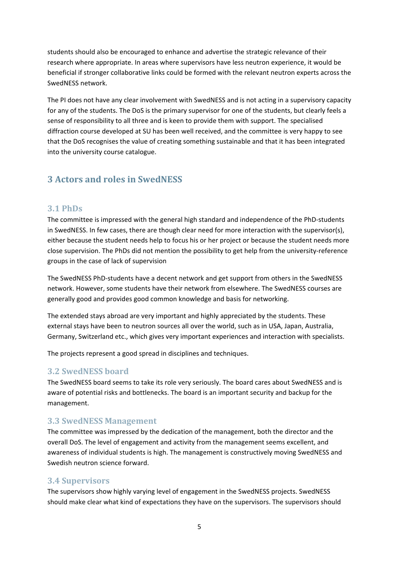students should also be encouraged to enhance and advertise the strategic relevance of their research where appropriate. In areas where supervisors have less neutron experience, it would be beneficial if stronger collaborative links could be formed with the relevant neutron experts across the SwedNESS network.

The PI does not have any clear involvement with SwedNESS and is not acting in a supervisory capacity for any of the students. The DoS is the primary supervisor for one of the students, but clearly feels a sense of responsibility to all three and is keen to provide them with support. The specialised diffraction course developed at SU has been well received, and the committee is very happy to see that the DoS recognises the value of creating something sustainable and that it has been integrated into the university course catalogue.

# **3 Actors and roles in SwedNESS**

### **3.1 PhDs**

The committee is impressed with the general high standard and independence of the PhD‐students in SwedNESS. In few cases, there are though clear need for more interaction with the supervisor(s), either because the student needs help to focus his or her project or because the student needs more close supervision. The PhDs did not mention the possibility to get help from the university‐reference groups in the case of lack of supervision

The SwedNESS PhD‐students have a decent network and get support from others in the SwedNESS network. However, some students have their network from elsewhere. The SwedNESS courses are generally good and provides good common knowledge and basis for networking.

The extended stays abroad are very important and highly appreciated by the students. These external stays have been to neutron sources all over the world, such as in USA, Japan, Australia, Germany, Switzerland etc., which gives very important experiences and interaction with specialists.

The projects represent a good spread in disciplines and techniques.

# **3.2 SwedNESS board**

The SwedNESS board seems to take its role very seriously. The board cares about SwedNESS and is aware of potential risks and bottlenecks. The board is an important security and backup for the management.

# **3.3 SwedNESS Management**

The committee was impressed by the dedication of the management, both the director and the overall DoS. The level of engagement and activity from the management seems excellent, and awareness of individual students is high. The management is constructively moving SwedNESS and Swedish neutron science forward.

# **3.4 Supervisors**

The supervisors show highly varying level of engagement in the SwedNESS projects. SwedNESS should make clear what kind of expectations they have on the supervisors. The supervisors should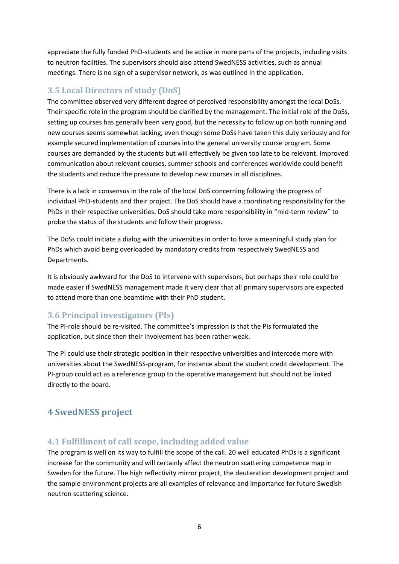appreciate the fully funded PhD‐students and be active in more parts of the projects, including visits to neutron facilities. The supervisors should also attend SwedNESS activities, such as annual meetings. There is no sign of a supervisor network, as was outlined in the application.

# **3.5 Local Directors of study (DoS)**

The committee observed very different degree of perceived responsibility amongst the local DoSs. Their specific role in the program should be clarified by the management. The initial role of the DoSs, setting up courses has generally been very good, but the necessity to follow up on both running and new courses seems somewhat lacking, even though some DoSs have taken this duty seriously and for example secured implementation of courses into the general university course program. Some courses are demanded by the students but will effectively be given too late to be relevant. Improved communication about relevant courses, summer schools and conferences worldwide could benefit the students and reduce the pressure to develop new courses in all disciplines.

There is a lack in consensus in the role of the local DoS concerning following the progress of individual PhD‐students and their project. The DoS should have a coordinating responsibility for the PhDs in their respective universities. DoS should take more responsibility in "mid‐term review" to probe the status of the students and follow their progress.

The DoSs could initiate a dialog with the universities in order to have a meaningful study plan for PhDs which avoid being overloaded by mandatory credits from respectively SwedNESS and Departments.

It is obviously awkward for the DoS to intervene with supervisors, but perhaps their role could be made easier if SwedNESS management made it very clear that all primary supervisors are expected to attend more than one beamtime with their PhD student.

# **3.6 Principal investigators (PIs)**

The PI-role should be re-visited. The committee's impression is that the PIs formulated the application, but since then their involvement has been rather weak.

The PI could use their strategic position in their respective universities and intercede more with universities about the SwedNESS‐program, for instance about the student credit development. The PI-group could act as a reference group to the operative management but should not be linked directly to the board.

# **4 SwedNESS project**

# **4.1 Fulfillment of call scope, including added value**

The program is well on its way to fulfill the scope of the call. 20 well educated PhDs is a significant increase for the community and will certainly affect the neutron scattering competence map in Sweden for the future. The high reflectivity mirror project, the deuteration development project and the sample environment projects are all examples of relevance and importance for future Swedish neutron scattering science.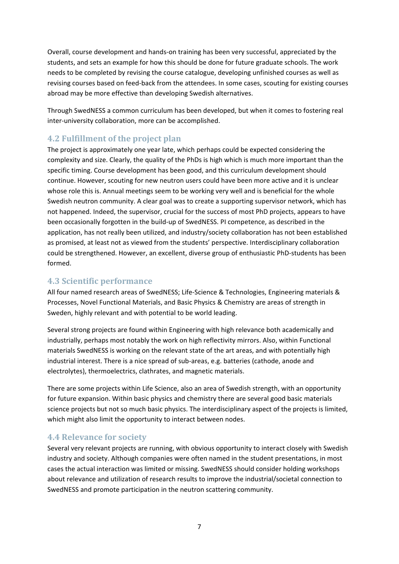Overall, course development and hands‐on training has been very successful, appreciated by the students, and sets an example for how this should be done for future graduate schools. The work needs to be completed by revising the course catalogue, developing unfinished courses as well as revising courses based on feed‐back from the attendees. In some cases, scouting for existing courses abroad may be more effective than developing Swedish alternatives.

Through SwedNESS a common curriculum has been developed, but when it comes to fostering real inter‐university collaboration, more can be accomplished.

# **4.2 Fulfillment of the project plan**

The project is approximately one year late, which perhaps could be expected considering the complexity and size. Clearly, the quality of the PhDs is high which is much more important than the specific timing. Course development has been good, and this curriculum development should continue. However, scouting for new neutron users could have been more active and it is unclear whose role this is. Annual meetings seem to be working very well and is beneficial for the whole Swedish neutron community. A clear goal was to create a supporting supervisor network, which has not happened. Indeed, the supervisor, crucial for the success of most PhD projects, appears to have been occasionally forgotten in the build-up of SwedNESS. PI competence, as described in the application, has not really been utilized, and industry/society collaboration has not been established as promised, at least not as viewed from the students' perspective. Interdisciplinary collaboration could be strengthened. However, an excellent, diverse group of enthusiastic PhD‐students has been formed.

### **4.3 Scientific performance**

All four named research areas of SwedNESS; Life‐Science & Technologies, Engineering materials & Processes, Novel Functional Materials, and Basic Physics & Chemistry are areas of strength in Sweden, highly relevant and with potential to be world leading.

Several strong projects are found within Engineering with high relevance both academically and industrially, perhaps most notably the work on high reflectivity mirrors. Also, within Functional materials SwedNESS is working on the relevant state of the art areas, and with potentially high industrial interest. There is a nice spread of sub‐areas, e.g. batteries (cathode, anode and electrolytes), thermoelectrics, clathrates, and magnetic materials.

There are some projects within Life Science, also an area of Swedish strength, with an opportunity for future expansion. Within basic physics and chemistry there are several good basic materials science projects but not so much basic physics. The interdisciplinary aspect of the projects is limited, which might also limit the opportunity to interact between nodes.

### **4.4 Relevance for society**

Several very relevant projects are running, with obvious opportunity to interact closely with Swedish industry and society. Although companies were often named in the student presentations, in most cases the actual interaction was limited or missing. SwedNESS should consider holding workshops about relevance and utilization of research results to improve the industrial/societal connection to SwedNESS and promote participation in the neutron scattering community.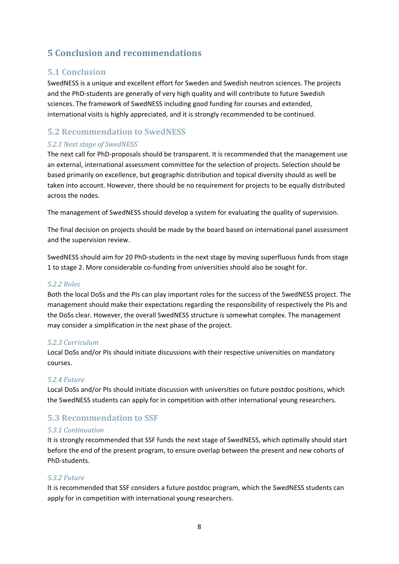# **5 Conclusion and recommendations**

### **5.1 Conclusion**

SwedNESS is a unique and excellent effort for Sweden and Swedish neutron sciences. The projects and the PhD‐students are generally of very high quality and will contribute to future Swedish sciences. The framework of SwedNESS including good funding for courses and extended, international visits is highly appreciated, and it is strongly recommended to be continued.

# **5.2 Recommendation to SwedNESS**

### *5.2.1 Next stage of SwedNESS*

The next call for PhD-proposals should be transparent. It is recommended that the management use an external, international assessment committee for the selection of projects. Selection should be based primarily on excellence, but geographic distribution and topical diversity should as well be taken into account. However, there should be no requirement for projects to be equally distributed across the nodes.

The management of SwedNESS should develop a system for evaluating the quality of supervision.

The final decision on projects should be made by the board based on international panel assessment and the supervision review.

SwedNESS should aim for 20 PhD‐students in the next stage by moving superfluous funds from stage 1 to stage 2. More considerable co-funding from universities should also be sought for.

#### *5.2.2 Roles*

Both the local DoSs and the PIs can play important roles for the success of the SwedNESS project. The management should make their expectations regarding the responsibility of respectively the PIs and the DoSs clear. However, the overall SwedNESS structure is somewhat complex. The management may consider a simplification in the next phase of the project.

#### *5.2.3 Curriculum*

Local DoSs and/or PIs should initiate discussions with their respective universities on mandatory courses.

#### *5.2.4 Future*

Local DoSs and/or PIs should initiate discussion with universities on future postdoc positions, which the SwedNESS students can apply for in competition with other international young researchers.

# **5.3 Recommendation to SSF**

#### *5.3.1 Continuation*

It is strongly recommended that SSF funds the next stage of SwedNESS, which optimally should start before the end of the present program, to ensure overlap between the present and new cohorts of PhD‐students.

#### *5.3.2 Future*

It is recommended that SSF considers a future postdoc program, which the SwedNESS students can apply for in competition with international young researchers.